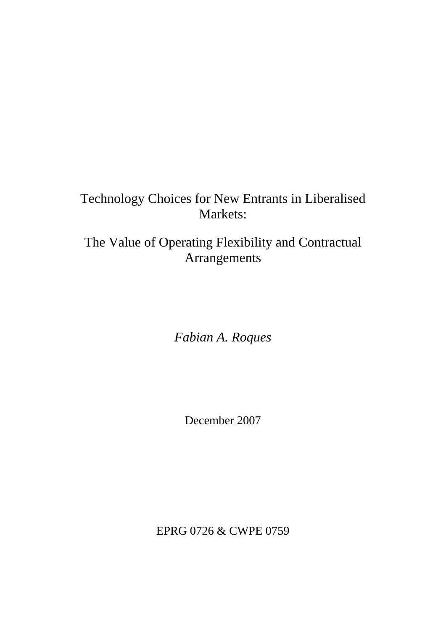# Technology Choices for New Entrants in Liberalised Markets:

## The Value of Operating Flexibility and Contractual Arrangements

*Fabian A. Roques*

December 2007

EPRG 0726 & CWPE 0759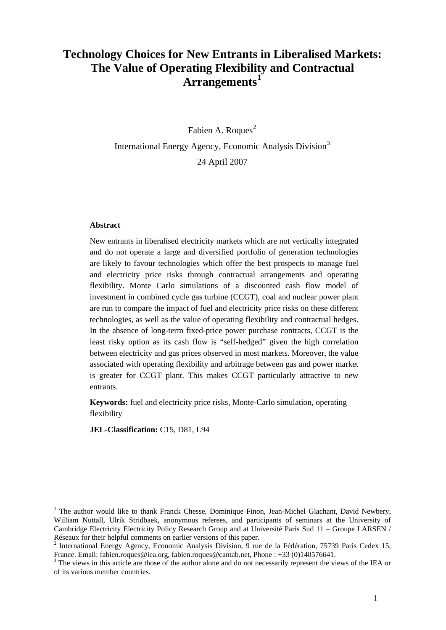## **Technology Choices for New Entrants in Liberalised Markets: The Value of Operating Flexibility and Contractual Arrangements[1](#page-1-0)**

Fabien A. Roques<sup>[2](#page-1-1)</sup> International Energy Agency, Economic Analysis Division<sup>[3](#page-1-2)</sup> 24 April 2007

#### **Abstract**

<u>.</u>

New entrants in liberalised electricity markets which are not vertically integrated and do not operate a large and diversified portfolio of generation technologies are likely to favour technologies which offer the best prospects to manage fuel and electricity price risks through contractual arrangements and operating flexibility. Monte Carlo simulations of a discounted cash flow model of investment in combined cycle gas turbine (CCGT), coal and nuclear power plant are run to compare the impact of fuel and electricity price risks on these different technologies, as well as the value of operating flexibility and contractual hedges. In the absence of long-term fixed-price power purchase contracts, CCGT is the least risky option as its cash flow is "self-hedged" given the high correlation between electricity and gas prices observed in most markets. Moreover, the value associated with operating flexibility and arbitrage between gas and power market is greater for CCGT plant. This makes CCGT particularly attractive to new entrants.

**Keywords:** fuel and electricity price risks, Monte-Carlo simulation, operating flexibility

**JEL-Classification:** C15, D81, L94

<span id="page-1-0"></span><sup>&</sup>lt;sup>1</sup> The author would like to thank Franck Chesse, Dominique Finon, Jean-Michel Glachant, David Newbery, William Nuttall, Ulrik Stridbaek, anonymous referees, and participants of seminars at the University of Cambridge Electricity Electricity Policy Research Group and at Université Paris Sud 11 – Groupe LARSEN / Réseaux for their helpful comments on earlier versions of this paper.

<span id="page-1-1"></span><sup>&</sup>lt;sup>2</sup> International Energy Agency, Economic Analysis Division, 9 rue de la Fédération, 75739 Paris Cedex 15, France. Email: fabien.roques@iea.org, fabien.roques@cantab.net, Phone : +33 (0)140576641.

<span id="page-1-2"></span><sup>&</sup>lt;sup>3</sup> The views in this article are those of the author alone and do not necessarily represent the views of the IEA or of its various member countries.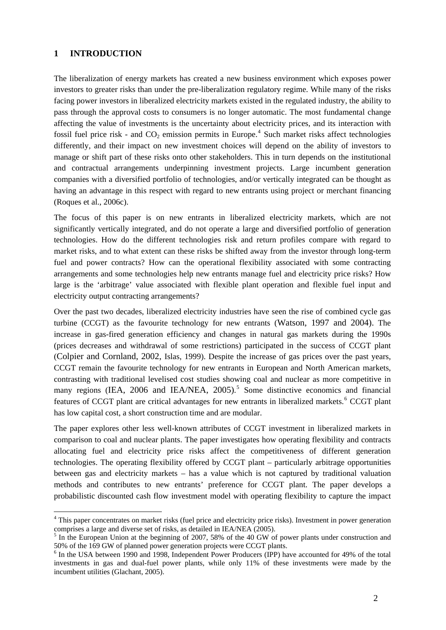### **1 INTRODUCTION**

1

The liberalization of energy markets has created a new business environment which exposes power investors to greater risks than under the pre-liberalization regulatory regime. While many of the risks facing power investors in liberalized electricity markets existed in the regulated industry, the ability to pass through the approval costs to consumers is no longer automatic. The most fundamental change affecting the value of investments is the uncertainty about electricity prices, and its interaction with fossil fuel price risk - and  $CO_2$  emission permits in Europe.<sup>[4](#page-2-0)</sup> Such market risks affect technologies differently, and their impact on new investment choices will depend on the ability of investors to manage or shift part of these risks onto other stakeholders. This in turn depends on the institutional and contractual arrangements underpinning investment projects. Large incumbent generation companies with a diversified portfolio of technologies, and/or vertically integrated can be thought as having an advantage in this respect with regard to new entrants using project or merchant financing (Roques et al., 2006c).

The focus of this paper is on new entrants in liberalized electricity markets, which are not significantly vertically integrated, and do not operate a large and diversified portfolio of generation technologies. How do the different technologies risk and return profiles compare with regard to market risks, and to what extent can these risks be shifted away from the investor through long-term fuel and power contracts? How can the operational flexibility associated with some contracting arrangements and some technologies help new entrants manage fuel and electricity price risks? How large is the 'arbitrage' value associated with flexible plant operation and flexible fuel input and electricity output contracting arrangements?

Over the past two decades, liberalized electricity industries have seen the rise of combined cycle gas turbine (CCGT) as the favourite technology for new entrants (Watson, 1997 and 2004). The increase in gas-fired generation efficiency and changes in natural gas markets during the 1990s (prices decreases and withdrawal of some restrictions) participated in the success of CCGT plant (Colpier and Cornland, 2002, Islas, 1999). Despite the increase of gas prices over the past years, CCGT remain the favourite technology for new entrants in European and North American markets, contrasting with traditional levelised cost studies showing coal and nuclear as more competitive in many regions (IEA, 2006 and IEA/NEA, 200[5](#page-2-1)).<sup>5</sup> Some distinctive economics and financial features of CCGT plant are critical advantages for new entrants in liberalized markets.<sup>[6](#page-2-2)</sup> CCGT plant has low capital cost, a short construction time and are modular.

The paper explores other less well-known attributes of CCGT investment in liberalized markets in comparison to coal and nuclear plants. The paper investigates how operating flexibility and contracts allocating fuel and electricity price risks affect the competitiveness of different generation technologies. The operating flexibility offered by CCGT plant – particularly arbitrage opportunities between gas and electricity markets – has a value which is not captured by traditional valuation methods and contributes to new entrants' preference for CCGT plant. The paper develops a probabilistic discounted cash flow investment model with operating flexibility to capture the impact

<span id="page-2-0"></span><sup>&</sup>lt;sup>4</sup> This paper concentrates on market risks (fuel price and electricity price risks). Investment in power generation comprises a large and diverse set of risks, as detailed in IEA/NEA (2005).

<span id="page-2-1"></span> $<sup>5</sup>$  In the European Union at the beginning of 2007, 58% of the 40 GW of power plants under construction and</sup> 50% of the 169 GW of planned power generation projects were CCGT plants.

<span id="page-2-2"></span><sup>&</sup>lt;sup>6</sup> In the USA between 1990 and 1998, Independent Power Producers (IPP) have accounted for 49% of the total investments in gas and dual-fuel power plants, while only 11% of these investments were made by the incumbent utilities (Glachant, 2005).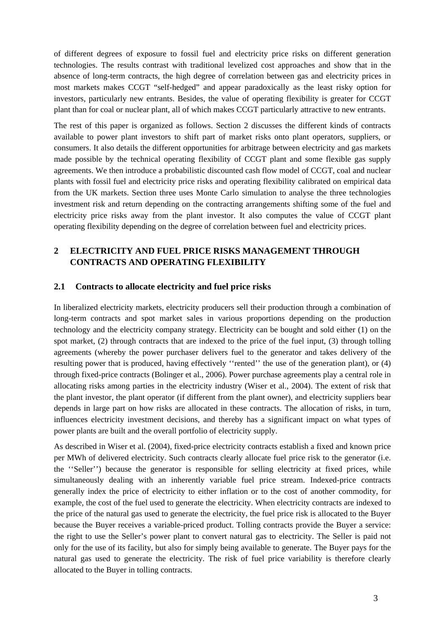of different degrees of exposure to fossil fuel and electricity price risks on different generation technologies. The results contrast with traditional levelized cost approaches and show that in the absence of long-term contracts, the high degree of correlation between gas and electricity prices in most markets makes CCGT "self-hedged" and appear paradoxically as the least risky option for investors, particularly new entrants. Besides, the value of operating flexibility is greater for CCGT plant than for coal or nuclear plant, all of which makes CCGT particularly attractive to new entrants.

The rest of this paper is organized as follows. Section 2 discusses the different kinds of contracts available to power plant investors to shift part of market risks onto plant operators, suppliers, or consumers. It also details the different opportunities for arbitrage between electricity and gas markets made possible by the technical operating flexibility of CCGT plant and some flexible gas supply agreements. We then introduce a probabilistic discounted cash flow model of CCGT, coal and nuclear plants with fossil fuel and electricity price risks and operating flexibility calibrated on empirical data from the UK markets. Section three uses Monte Carlo simulation to analyse the three technologies investment risk and return depending on the contracting arrangements shifting some of the fuel and electricity price risks away from the plant investor. It also computes the value of CCGT plant operating flexibility depending on the degree of correlation between fuel and electricity prices.

## **2 ELECTRICITY AND FUEL PRICE RISKS MANAGEMENT THROUGH CONTRACTS AND OPERATING FLEXIBILITY**

#### **2.1 Contracts to allocate electricity and fuel price risks**

In liberalized electricity markets, electricity producers sell their production through a combination of long-term contracts and spot market sales in various proportions depending on the production technology and the electricity company strategy. Electricity can be bought and sold either (1) on the spot market, (2) through contracts that are indexed to the price of the fuel input, (3) through tolling agreements (whereby the power purchaser delivers fuel to the generator and takes delivery of the resulting power that is produced, having effectively ''rented'' the use of the generation plant), or (4) through fixed-price contracts (Bolinger et al., 2006). Power purchase agreements play a central role in allocating risks among parties in the electricity industry (Wiser et al., 2004). The extent of risk that the plant investor, the plant operator (if different from the plant owner), and electricity suppliers bear depends in large part on how risks are allocated in these contracts. The allocation of risks, in turn, influences electricity investment decisions, and thereby has a significant impact on what types of power plants are built and the overall portfolio of electricity supply.

As described in Wiser et al. (2004), fixed-price electricity contracts establish a fixed and known price per MWh of delivered electricity. Such contracts clearly allocate fuel price risk to the generator (i.e. the ''Seller'') because the generator is responsible for selling electricity at fixed prices, while simultaneously dealing with an inherently variable fuel price stream. Indexed-price contracts generally index the price of electricity to either inflation or to the cost of another commodity, for example, the cost of the fuel used to generate the electricity. When electricity contracts are indexed to the price of the natural gas used to generate the electricity, the fuel price risk is allocated to the Buyer because the Buyer receives a variable-priced product. Tolling contracts provide the Buyer a service: the right to use the Seller's power plant to convert natural gas to electricity. The Seller is paid not only for the use of its facility, but also for simply being available to generate. The Buyer pays for the natural gas used to generate the electricity. The risk of fuel price variability is therefore clearly allocated to the Buyer in tolling contracts.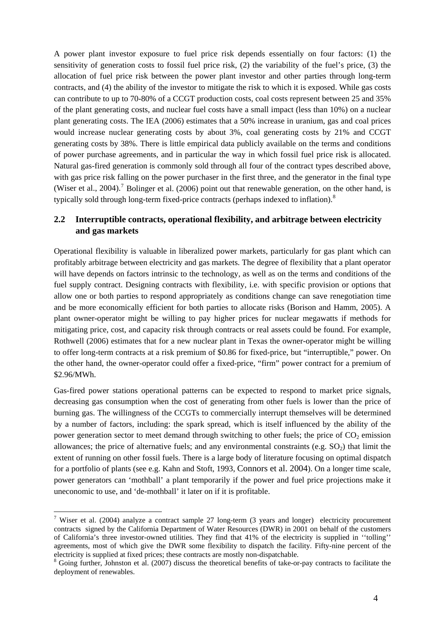A power plant investor exposure to fuel price risk depends essentially on four factors: (1) the sensitivity of generation costs to fossil fuel price risk, (2) the variability of the fuel's price, (3) the allocation of fuel price risk between the power plant investor and other parties through long-term contracts, and (4) the ability of the investor to mitigate the risk to which it is exposed. While gas costs can contribute to up to 70-80% of a CCGT production costs, coal costs represent between 25 and 35% of the plant generating costs, and nuclear fuel costs have a small impact (less than 10%) on a nuclear plant generating costs. The IEA (2006) estimates that a 50% increase in uranium, gas and coal prices would increase nuclear generating costs by about 3%, coal generating costs by 21% and CCGT generating costs by 38%. There is little empirical data publicly available on the terms and conditions of power purchase agreements, and in particular the way in which fossil fuel price risk is allocated. Natural gas-fired generation is commonly sold through all four of the contract types described above, with gas price risk falling on the power purchaser in the first three, and the generator in the final type (Wiser et al., 2004).<sup>[7](#page-4-0)</sup> Bolinger et al. (2006) point out that renewable generation, on the other hand, is typically sold through long-term fixed-price contracts (perhaps indexed to inflation).<sup>[8](#page-4-1)</sup>

## **2.2 Interruptible contracts, operational flexibility, and arbitrage between electricity and gas markets**

Operational flexibility is valuable in liberalized power markets, particularly for gas plant which can profitably arbitrage between electricity and gas markets. The degree of flexibility that a plant operator will have depends on factors intrinsic to the technology, as well as on the terms and conditions of the fuel supply contract. Designing contracts with flexibility, i.e. with specific provision or options that allow one or both parties to respond appropriately as conditions change can save renegotiation time and be more economically efficient for both parties to allocate risks (Borison and Hamm, 2005). A plant owner-operator might be willing to pay higher prices for nuclear megawatts if methods for mitigating price, cost, and capacity risk through contracts or real assets could be found. For example, Rothwell (2006) estimates that for a new nuclear plant in Texas the owner-operator might be willing to offer long-term contracts at a risk premium of \$0.86 for fixed-price, but "interruptible," power. On the other hand, the owner-operator could offer a fixed-price, "firm" power contract for a premium of \$2.96/MWh.

Gas-fired power stations operational patterns can be expected to respond to market price signals, decreasing gas consumption when the cost of generating from other fuels is lower than the price of burning gas. The willingness of the CCGTs to commercially interrupt themselves will be determined by a number of factors, including: the spark spread, which is itself influenced by the ability of the power generation sector to meet demand through switching to other fuels; the price of  $CO<sub>2</sub>$  emission allowances; the price of alternative fuels; and any environmental constraints (e.g.  $SO<sub>2</sub>$ ) that limit the extent of running on other fossil fuels. There is a large body of literature focusing on optimal dispatch for a portfolio of plants (see e.g. Kahn and Stoft, 1993, Connors et al. 2004). On a longer time scale, power generators can 'mothball' a plant temporarily if the power and fuel price projections make it uneconomic to use, and 'de-mothball' it later on if it is profitable.

<span id="page-4-0"></span><sup>&</sup>lt;sup>7</sup> Wiser et al. (2004) analyze a contract sample 27 long-term (3 years and longer) electricity procurement contracts signed by the California Department of Water Resources (DWR) in 2001 on behalf of the customers of California's three investor-owned utilities. They find that 41% of the electricity is supplied in ''tolling'' agreements, most of which give the DWR some flexibility to dispatch the facility. Fifty-nine percent of the electricity is supplied at fixed prices; these contracts are mostly non-dispatchable.

<span id="page-4-1"></span><sup>&</sup>lt;sup>8</sup> Going further, Johnston et al. (2007) discuss the theoretical benefits of take-or-pay contracts to facilitate the deployment of renewables.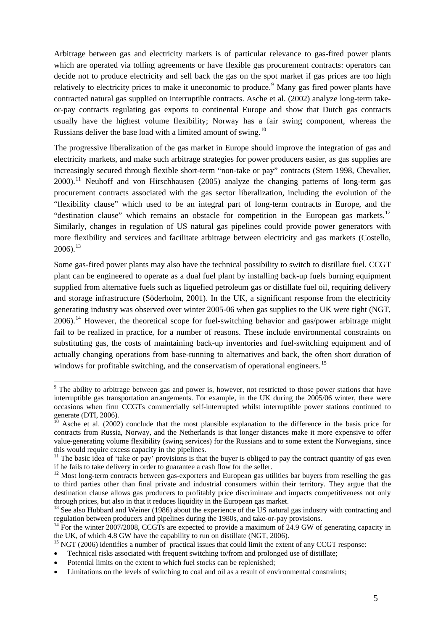Arbitrage between gas and electricity markets is of particular relevance to gas-fired power plants which are operated via tolling agreements or have flexible gas procurement contracts: operators can decide not to produce electricity and sell back the gas on the spot market if gas prices are too high relatively to electricity prices to make it uneconomic to produce.<sup>[9](#page-5-0)</sup> Many gas fired power plants have contracted natural gas supplied on interruptible contracts. Asche et al. (2002) analyze long-term takeor-pay contracts regulating gas exports to continental Europe and show that Dutch gas contracts usually have the highest volume flexibility; Norway has a fair swing component, whereas the Russians deliver the base load with a limited amount of swing.<sup>[10](#page-5-1)</sup>

The progressive liberalization of the gas market in Europe should improve the integration of gas and electricity markets, and make such arbitrage strategies for power producers easier, as gas supplies are increasingly secured through flexible short-term "non-take or pay" contracts (Stern 1998, Chevalier,  $2000$ .<sup>[11](#page-5-2)</sup> Neuhoff and von Hirschhausen (2005) analyze the changing patterns of long-term gas procurement contracts associated with the gas sector liberalization, including the evolution of the "flexibility clause" which used to be an integral part of long-term contracts in Europe, and the "destination clause" which remains an obstacle for competition in the European gas markets.<sup>[12](#page-5-3)</sup> Similarly, changes in regulation of US natural gas pipelines could provide power generators with more flexibility and services and facilitate arbitrage between electricity and gas markets (Costello,  $2006$ ).<sup>[13](#page-5-4)</sup>

Some gas-fired power plants may also have the technical possibility to switch to distillate fuel. CCGT plant can be engineered to operate as a dual fuel plant by installing back-up fuels burning equipment supplied from alternative fuels such as liquefied petroleum gas or distillate fuel oil, requiring delivery and storage infrastructure (Söderholm, 2001). In the UK, a significant response from the electricity generating industry was observed over winter 2005-06 when gas supplies to the UK were tight (NGT, 2006).<sup>[14](#page-5-5)</sup> However, the theoretical scope for fuel-switching behavior and gas/power arbitrage might fail to be realized in practice, for a number of reasons. These include environmental constraints on substituting gas, the costs of maintaining back-up inventories and fuel-switching equipment and of actually changing operations from base-running to alternatives and back, the often short duration of windows for profitable switching, and the conservatism of operational engineers.<sup>[15](#page-5-6)</sup>

- <span id="page-5-6"></span>• Technical risks associated with frequent switching to/from and prolonged use of distillate;
- Potential limits on the extent to which fuel stocks can be replenished;

<span id="page-5-0"></span><sup>&</sup>lt;sup>9</sup> The ability to arbitrage between gas and power is, however, not restricted to those power stations that have interruptible gas transportation arrangements. For example, in the UK during the 2005/06 winter, there were occasions when firm CCGTs commercially self-interrupted whilst interruptible power stations continued to generate (DTI, 2006).

<span id="page-5-1"></span> $\frac{10}{10}$  Asche et al. (2002) conclude that the most plausible explanation to the difference in the basis price for contracts from Russia, Norway, and the Netherlands is that longer distances make it more expensive to offer value-generating volume flexibility (swing services) for the Russians and to some extent the Norwegians, since this would require excess capacity in the pipelines.

<span id="page-5-2"></span><sup>&</sup>lt;sup>11</sup> The basic idea of 'take or pay' provisions is that the buyer is obliged to pay the contract quantity of gas even if he fails to take delivery in order to guarantee a cash flow for the seller.

<span id="page-5-3"></span><sup>&</sup>lt;sup>12</sup> Most long-term contracts between gas-exporters and European gas utilities bar buyers from reselling the gas to third parties other than final private and industrial consumers within their territory. They argue that the destination clause allows gas producers to profitably price discriminate and impacts competitiveness not only through prices, but also in that it reduces liquidity in the European gas market.

<span id="page-5-4"></span><sup>&</sup>lt;sup>13</sup> See also Hubbard and Weiner (1986) about the experience of the US natural gas industry with contracting and regulation between producers and pipelines during the 1980s, and take-or-pay provisions.

<span id="page-5-5"></span><sup>&</sup>lt;sup>14</sup> For the winter 2007/2008, CCGTs are expected to provide a maximum of 24.9 GW of generating capacity in the UK, of which 4.8 GW have the capability to run on distillate (NGT, 2006).<br><sup>15</sup> NGT (2006) identifies a number of practical issues that could limit the extent of any CCGT response:

<sup>•</sup> Limitations on the levels of switching to coal and oil as a result of environmental constraints;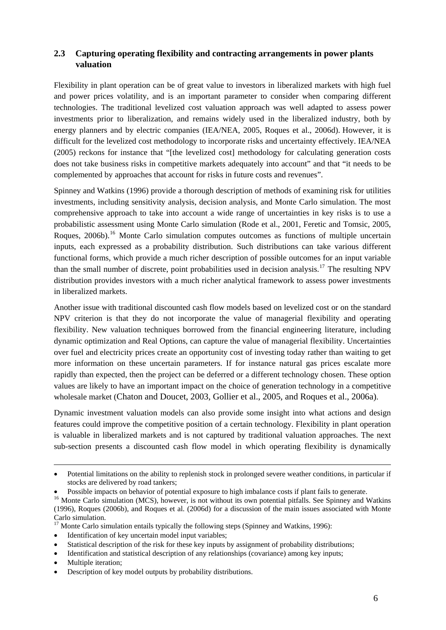## **2.3 Capturing operating flexibility and contracting arrangements in power plants valuation**

Flexibility in plant operation can be of great value to investors in liberalized markets with high fuel and power prices volatility, and is an important parameter to consider when comparing different technologies. The traditional levelized cost valuation approach was well adapted to assess power investments prior to liberalization, and remains widely used in the liberalized industry, both by energy planners and by electric companies (IEA/NEA, 2005, Roques et al., 2006d). However, it is difficult for the levelized cost methodology to incorporate risks and uncertainty effectively. IEA/NEA (2005) reckons for instance that "[the levelized cost] methodology for calculating generation costs does not take business risks in competitive markets adequately into account" and that "it needs to be complemented by approaches that account for risks in future costs and revenues".

Spinney and Watkins (1996) provide a thorough description of methods of examining risk for utilities investments, including sensitivity analysis, decision analysis, and Monte Carlo simulation. The most comprehensive approach to take into account a wide range of uncertainties in key risks is to use a probabilistic assessment using Monte Carlo simulation (Rode et al., 2001, Feretic and Tomsic, 2005, Roques, 2006b).<sup>[16](#page-6-0)</sup> Monte Carlo simulation computes outcomes as functions of multiple uncertain inputs, each expressed as a probability distribution. Such distributions can take various different functional forms, which provide a much richer description of possible outcomes for an input variable than the small number of discrete, point probabilities used in decision analysis.[17](#page-6-1) The resulting NPV distribution provides investors with a much richer analytical framework to assess power investments in liberalized markets.

Another issue with traditional discounted cash flow models based on levelized cost or on the standard NPV criterion is that they do not incorporate the value of managerial flexibility and operating flexibility. New valuation techniques borrowed from the financial engineering literature, including dynamic optimization and Real Options, can capture the value of managerial flexibility. Uncertainties over fuel and electricity prices create an opportunity cost of investing today rather than waiting to get more information on these uncertain parameters. If for instance natural gas prices escalate more rapidly than expected, then the project can be deferred or a different technology chosen. These option values are likely to have an important impact on the choice of generation technology in a competitive wholesale market (Chaton and Doucet, 2003, Gollier et al., 2005, and Roques et al., 2006a).

Dynamic investment valuation models can also provide some insight into what actions and design features could improve the competitive position of a certain technology. Flexibility in plant operation is valuable in liberalized markets and is not captured by traditional valuation approaches. The next sub-section presents a discounted cash flow model in which operating flexibility is dynamically

<span id="page-6-1"></span> $17$  Monte Carlo simulation entails typically the following steps (Spinney and Watkins, 1996):

- Identification of key uncertain model input variables;
- Statistical description of the risk for these key inputs by assignment of probability distributions;
- Identification and statistical description of any relationships (covariance) among key inputs;
- Multiple iteration:

<u>.</u>

• Description of key model outputs by probability distributions.

<sup>•</sup> Potential limitations on the ability to replenish stock in prolonged severe weather conditions, in particular if stocks are delivered by road tankers;

<span id="page-6-0"></span><sup>•</sup> Possible impacts on behavior of potential exposure to high imbalance costs if plant fails to generate. 16 Monte Carlo simulation (MCS), however, is not without its own potential pitfalls. See Spinney and Watkins (1996), Roques (2006b), and Roques et al. (2006d) for a discussion of the main issues associated with Monte Carlo simulation.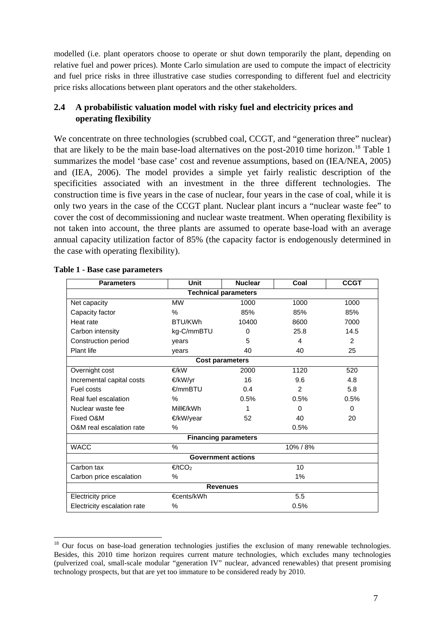modelled (i.e. plant operators choose to operate or shut down temporarily the plant, depending on relative fuel and power prices). Monte Carlo simulation are used to compute the impact of electricity and fuel price risks in three illustrative case studies corresponding to different fuel and electricity price risks allocations between plant operators and the other stakeholders.

## **2.4 A probabilistic valuation model with risky fuel and electricity prices and operating flexibility**

We concentrate on three technologies (scrubbed coal, CCGT, and "generation three" nuclear) that are likely to be the main base-load alternatives on the post-2010 time horizon.<sup>[18](#page-7-0)</sup> Table 1 summarizes the model 'base case' cost and revenue assumptions, based on (IEA/NEA, 2005) and (IEA, 2006). The model provides a simple yet fairly realistic description of the specificities associated with an investment in the three different technologies. The construction time is five years in the case of nuclear, four years in the case of coal, while it is only two years in the case of the CCGT plant. Nuclear plant incurs a "nuclear waste fee" to cover the cost of decommissioning and nuclear waste treatment. When operating flexibility is not taken into account, the three plants are assumed to operate base-load with an average annual capacity utilization factor of 85% (the capacity factor is endogenously determined in the case with operating flexibility).

| <b>Parameters</b>           | <b>Unit</b><br><b>Nuclear</b> |          | Coal     | <b>CCGT</b> |  |  |  |  |
|-----------------------------|-------------------------------|----------|----------|-------------|--|--|--|--|
| <b>Technical parameters</b> |                               |          |          |             |  |  |  |  |
| Net capacity                | <b>MW</b>                     | 1000     | 1000     | 1000        |  |  |  |  |
| Capacity factor             | $\frac{0}{0}$                 | 85%      | 85%      | 85%         |  |  |  |  |
| Heat rate                   | BTU/KWh                       | 10400    | 8600     | 7000        |  |  |  |  |
| Carbon intensity            | kg-C/mmBTU                    | $\Omega$ | 25.8     | 14.5        |  |  |  |  |
| Construction period         | years                         | 5        | 4        | 2           |  |  |  |  |
| Plant life                  | years                         | 40       | 40       | 25          |  |  |  |  |
| <b>Cost parameters</b>      |                               |          |          |             |  |  |  |  |
| Overnight cost              | €/kW                          | 2000     | 1120     | 520         |  |  |  |  |
| Incremental capital costs   | €/kW/yr                       | 16       | 9.6      | 4.8         |  |  |  |  |
| Fuel costs                  | $€/mm$ BTU                    | 0.4      | 2        | 5.8         |  |  |  |  |
| Real fuel escalation        | $\%$                          | 0.5%     | 0.5%     | 0.5%        |  |  |  |  |
| Nuclear waste fee           | Mill€/kWh                     | 1        | $\Omega$ | $\Omega$    |  |  |  |  |
| Fixed O&M                   | €/kW/year<br>52               |          | 40       | 20          |  |  |  |  |
| O&M real escalation rate    | $\%$                          | 0.5%     |          |             |  |  |  |  |
| <b>Financing parameters</b> |                               |          |          |             |  |  |  |  |
| <b>WACC</b>                 | $\%$                          | 10% / 8% |          |             |  |  |  |  |
| <b>Government actions</b>   |                               |          |          |             |  |  |  |  |
| Carbon tax                  | €/tCO <sub>2</sub><br>10      |          |          |             |  |  |  |  |
| Carbon price escalation     | $\%$                          | $1\%$    |          |             |  |  |  |  |
| <b>Revenues</b>             |                               |          |          |             |  |  |  |  |
| <b>Electricity price</b>    | €cents/kWh                    | 5.5      |          |             |  |  |  |  |
| Electricity escalation rate | %                             | 0.5%     |          |             |  |  |  |  |

#### **Table 1 - Base case parameters**

<span id="page-7-0"></span><sup>&</sup>lt;sup>18</sup> Our focus on base-load generation technologies justifies the exclusion of many renewable technologies. Besides, this 2010 time horizon requires current mature technologies, which excludes many technologies (pulverized coal, small-scale modular "generation IV" nuclear, advanced renewables) that present promising technology prospects, but that are yet too immature to be considered ready by 2010.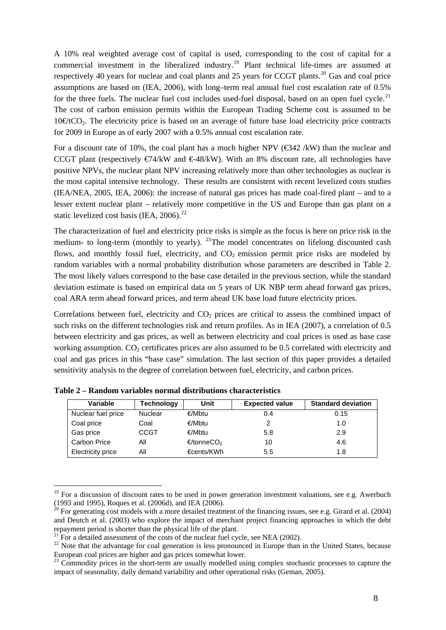A 10% real weighted average cost of capital is used, corresponding to the cost of capital for a commercial investment in the liberalized industry.<sup>[19](#page-8-0)</sup> Plant technical life-times are assumed at respectively 40 years for nuclear and coal plants and 25 years for CCGT plants.<sup>[20](#page-8-1)</sup> Gas and coal price assumptions are based on (IEA, 2006), with long–term real annual fuel cost escalation rate of 0.5% for the three fuels. The nuclear fuel cost includes used-fuel disposal, based on an open fuel cycle.<sup>[21](#page-8-2)</sup> The cost of carbon emission permits within the European Trading Scheme cost is assumed to be  $10\cdot \text{EtCO}_2$ . The electricity price is based on an average of future base load electricity price contracts for 2009 in Europe as of early 2007 with a 0.5% annual cost escalation rate.

For a discount rate of 10%, the coal plant has a much higher NPV (€342 /kW) than the nuclear and CCGT plant (respectively  $\epsilon/44$ KW and  $\epsilon/48$ KW). With an 8% discount rate, all technologies have positive NPVs, the nuclear plant NPV increasing relatively more than other technologies as nuclear is the most capital intensive technology. These results are consistent with recent levelized costs studies (IEA/NEA, 2005, IEA, 2006): the increase of natural gas prices has made coal-fired plant – and to a lesser extent nuclear plant – relatively more competitive in the US and Europe than gas plant on a static levelized cost basis (IEA, 2006).<sup>[22](#page-8-3)</sup>

The characterization of fuel and electricity price risks is simple as the focus is here on price risk in the medium- to long-term (monthly to yearly).  $^{23}$  $^{23}$  $^{23}$ The model concentrates on lifelong discounted cash flows, and monthly fossil fuel, electricity, and  $CO<sub>2</sub>$  emission permit price risks are modeled by random variables with a normal probability distribution whose parameters are described in Table 2. The most likely values correspond to the base case detailed in the previous section, while the standard deviation estimate is based on empirical data on 5 years of UK NBP term ahead forward gas prices, coal ARA term ahead forward prices, and term ahead UK base load future electricity prices.

Correlations between fuel, electricity and  $CO<sub>2</sub>$  prices are critical to assess the combined impact of such risks on the different technologies risk and return profiles. As in IEA (2007), a correlation of 0.5 between electricity and gas prices, as well as between electricity and coal prices is used as base case working assumption.  $CO<sub>2</sub>$  certificates prices are also assumed to be 0.5 correlated with electricity and coal and gas prices in this "base case" simulation. The last section of this paper provides a detailed sensitivity analysis to the degree of correlation between fuel, electricity, and carbon prices.

| Variable                 | Technology     | Unit                   | <b>Expected value</b> | <b>Standard deviation</b> |
|--------------------------|----------------|------------------------|-----------------------|---------------------------|
| Nuclear fuel price       | <b>Nuclear</b> | €/Mbtu                 | 0.4                   | 0.15                      |
| Coal price               | Coal           | €/Mbtu                 |                       | 1.0                       |
| Gas price                | <b>CCGT</b>    | €/Mbtu                 | 5.8                   | 2.9                       |
| Carbon Price             | All            | €/tonneCO <sub>2</sub> | 10                    | 4.6                       |
| <b>Electricity price</b> | All            | €cents/KWh             | 5.5                   | 1.8                       |

**Table 2 – Random variables normal distributions characteristics** 

<span id="page-8-0"></span><sup>&</sup>lt;sup>19</sup> For a discussion of discount rates to be used in power generation investment valuations, see e.g. Awerbuch (1993 and 1995), Roques et al. (2006d), and IEA (2006).

<span id="page-8-1"></span><sup>&</sup>lt;sup>20</sup> For generating cost models with a more detailed treatment of the financing issues, see e.g. Girard et al. (2004) and Deutch et al. (2003) who explore the impact of merchant project financing approaches in which the debt repayment period is shorter than the physical life of the plant.<br><sup>21</sup> For a detailed assessment of the costs of the nuclear fuel cycle, see NEA (2002).

<span id="page-8-3"></span><span id="page-8-2"></span> $22$  Note that the advantage for coal generation is less pronounced in Europe than in the United States, because European coal prices are higher and gas prices somewhat lower.<br><sup>23</sup> Commodity prices in the short-term are usually modelled using complex stochastic processes to capture the

<span id="page-8-4"></span>impact of seasonality, daily demand variability and other operational risks (Geman, 2005).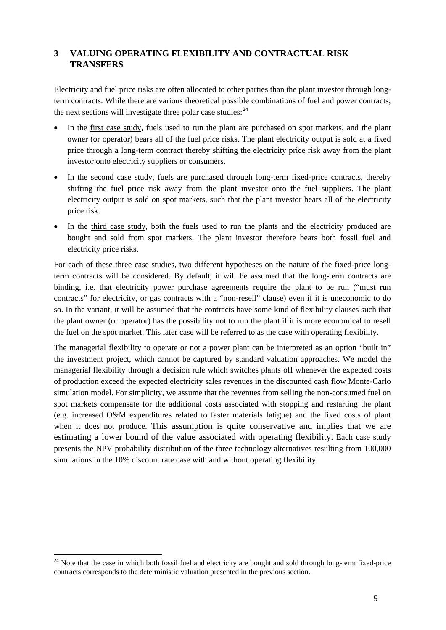## **3 VALUING OPERATING FLEXIBILITY AND CONTRACTUAL RISK TRANSFERS**

Electricity and fuel price risks are often allocated to other parties than the plant investor through longterm contracts. While there are various theoretical possible combinations of fuel and power contracts, the next sections will investigate three polar case studies:  $24$ 

- In the first case study, fuels used to run the plant are purchased on spot markets, and the plant owner (or operator) bears all of the fuel price risks. The plant electricity output is sold at a fixed price through a long-term contract thereby shifting the electricity price risk away from the plant investor onto electricity suppliers or consumers.
- In the second case study, fuels are purchased through long-term fixed-price contracts, thereby shifting the fuel price risk away from the plant investor onto the fuel suppliers. The plant electricity output is sold on spot markets, such that the plant investor bears all of the electricity price risk.
- In the third case study, both the fuels used to run the plants and the electricity produced are bought and sold from spot markets. The plant investor therefore bears both fossil fuel and electricity price risks.

For each of these three case studies, two different hypotheses on the nature of the fixed-price longterm contracts will be considered. By default, it will be assumed that the long-term contracts are binding, i.e. that electricity power purchase agreements require the plant to be run ("must run contracts" for electricity, or gas contracts with a "non-resell" clause) even if it is uneconomic to do so. In the variant, it will be assumed that the contracts have some kind of flexibility clauses such that the plant owner (or operator) has the possibility not to run the plant if it is more economical to resell the fuel on the spot market. This later case will be referred to as the case with operating flexibility.

The managerial flexibility to operate or not a power plant can be interpreted as an option "built in" the investment project, which cannot be captured by standard valuation approaches. We model the managerial flexibility through a decision rule which switches plants off whenever the expected costs of production exceed the expected electricity sales revenues in the discounted cash flow Monte-Carlo simulation model. For simplicity, we assume that the revenues from selling the non-consumed fuel on spot markets compensate for the additional costs associated with stopping and restarting the plant (e.g. increased O&M expenditures related to faster materials fatigue) and the fixed costs of plant when it does not produce. This assumption is quite conservative and implies that we are estimating a lower bound of the value associated with operating flexibility. Each case study presents the NPV probability distribution of the three technology alternatives resulting from 100,000 simulations in the 10% discount rate case with and without operating flexibility.

<u>.</u>

<span id="page-9-0"></span> $24$  Note that the case in which both fossil fuel and electricity are bought and sold through long-term fixed-price contracts corresponds to the deterministic valuation presented in the previous section.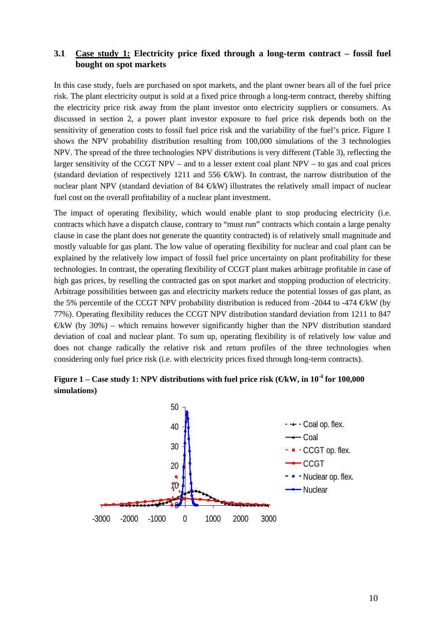## **3.1 Case study 1: Electricity price fixed through a long-term contract – fossil fuel bought on spot markets**

In this case study, fuels are purchased on spot markets, and the plant owner bears all of the fuel price risk. The plant electricity output is sold at a fixed price through a long-term contract, thereby shifting the electricity price risk away from the plant investor onto electricity suppliers or consumers. As discussed in section 2, a power plant investor exposure to fuel price risk depends both on the sensitivity of generation costs to fossil fuel price risk and the variability of the fuel's price. Figure 1 shows the NPV probability distribution resulting from 100,000 simulations of the 3 technologies NPV. The spread of the three technologies NPV distributions is very different (Table 3), reflecting the larger sensitivity of the CCGT NPV – and to a lesser extent coal plant NPV – to gas and coal prices (standard deviation of respectively 1211 and 556  $\bigoplus$ kW). In contrast, the narrow distribution of the nuclear plant NPV (standard deviation of  $84 \in KW$ ) illustrates the relatively small impact of nuclear fuel cost on the overall profitability of a nuclear plant investment.

The impact of operating flexibility, which would enable plant to stop producing electricity (i.e. contracts which have a dispatch clause, contrary to "must run" contracts which contain a large penalty clause in case the plant does not generate the quantity contracted) is of relatively small magnitude and mostly valuable for gas plant. The low value of operating flexibility for nuclear and coal plant can be explained by the relatively low impact of fossil fuel price uncertainty on plant profitability for these technologies. In contrast, the operating flexibility of CCGT plant makes arbitrage profitable in case of high gas prices, by reselling the contracted gas on spot market and stopping production of electricity. Arbitrage possibilities between gas and electricity markets reduce the potential losses of gas plant, as the 5% percentile of the CCGT NPV probability distribution is reduced from -2044 to -474  $\bigoplus$ KW (by 77%). Operating flexibility reduces the CCGT NPV distribution standard deviation from 1211 to 847  $\mathcal{L}$  KW (by 30%) – which remains however significantly higher than the NPV distribution standard deviation of coal and nuclear plant. To sum up, operating flexibility is of relatively low value and does not change radically the relative risk and return profiles of the three technologies when considering only fuel price risk (i.e. with electricity prices fixed through long-term contracts).



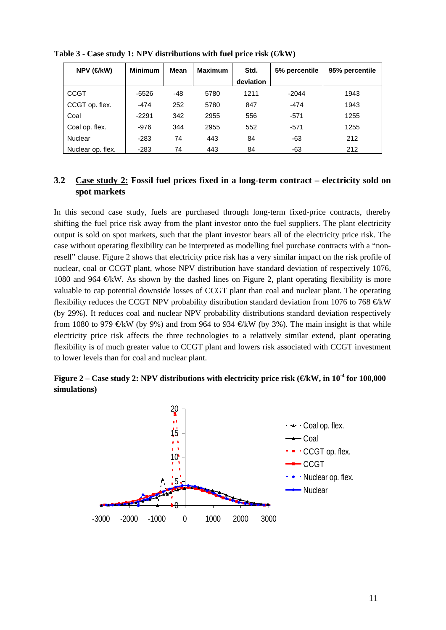| $NPV$ ( $Q$ kW)   | <b>Minimum</b> | Mean  | <b>Maximum</b> | Std.      | 5% percentile | 95% percentile |
|-------------------|----------------|-------|----------------|-----------|---------------|----------------|
|                   |                |       |                | deviation |               |                |
| <b>CCGT</b>       | $-5526$        | $-48$ | 5780           | 1211      | $-2044$       | 1943           |
| CCGT op. flex.    | -474           | 252   | 5780           | 847       | $-474$        | 1943           |
| Coal              | $-2291$        | 342   | 2955           | 556       | $-571$        | 1255           |
| Coal op. flex.    | $-976$         | 344   | 2955           | 552       | $-571$        | 1255           |
| <b>Nuclear</b>    | $-283$         | 74    | 443            | 84        | -63           | 212            |
| Nuclear op. flex. | $-283$         | 74    | 443            | 84        | -63           | 212            |

Table 3 - Case study 1: NPV distributions with fuel price risk (€kW)

## **3.2 Case study 2: Fossil fuel prices fixed in a long-term contract – electricity sold on spot markets**

In this second case study, fuels are purchased through long-term fixed-price contracts, thereby shifting the fuel price risk away from the plant investor onto the fuel suppliers. The plant electricity output is sold on spot markets, such that the plant investor bears all of the electricity price risk. The case without operating flexibility can be interpreted as modelling fuel purchase contracts with a "nonresell" clause. Figure 2 shows that electricity price risk has a very similar impact on the risk profile of nuclear, coal or CCGT plant, whose NPV distribution have standard deviation of respectively 1076, 1080 and 964  $\mathcal{L}k$ W. As shown by the dashed lines on Figure 2, plant operating flexibility is more valuable to cap potential downside losses of CCGT plant than coal and nuclear plant. The operating flexibility reduces the CCGT NPV probability distribution standard deviation from 1076 to 768  $\oplus$ kW (by 29%). It reduces coal and nuclear NPV probability distributions standard deviation respectively from 1080 to 979  $\in$ kW (by 9%) and from 964 to 934  $\in$ kW (by 3%). The main insight is that while electricity price risk affects the three technologies to a relatively similar extend, plant operating flexibility is of much greater value to CCGT plant and lowers risk associated with CCGT investment to lower levels than for coal and nuclear plant.

## **Figure 2** – Case study 2: NPV distributions with electricity price risk ( $\bigoplus$ kW, in 10<sup>-4</sup> for 100,000 **simulations)**

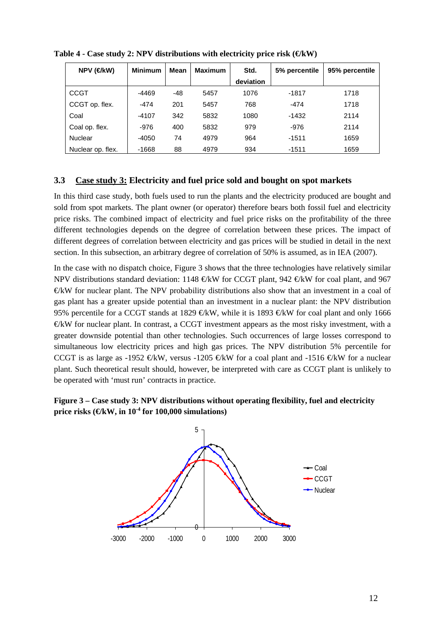| NPV (€kW)         | <b>Minimum</b> | <b>Mean</b> | <b>Maximum</b> | Std.      | 5% percentile | 95% percentile |
|-------------------|----------------|-------------|----------------|-----------|---------------|----------------|
|                   |                |             |                | deviation |               |                |
| <b>CCGT</b>       | $-4469$        | $-48$       | 5457           | 1076      | $-1817$       | 1718           |
| CCGT op. flex.    | $-474$         | 201         | 5457           | 768       | $-474$        | 1718           |
| Coal              | $-4107$        | 342         | 5832           | 1080      | -1432         | 2114           |
| Coal op. flex.    | $-976$         | 400         | 5832           | 979       | -976          | 2114           |
| Nuclear           | $-4050$        | 74          | 4979           | 964       | $-1511$       | 1659           |
| Nuclear op. flex. | $-1668$        | 88          | 4979           | 934       | $-1511$       | 1659           |

Table  $4$  - Case study 2: NPV distributions with electricity price risk  $(\text{CkW})$ 

## **3.3 Case study 3: Electricity and fuel price sold and bought on spot markets**

In this third case study, both fuels used to run the plants and the electricity produced are bought and sold from spot markets. The plant owner (or operator) therefore bears both fossil fuel and electricity price risks. The combined impact of electricity and fuel price risks on the profitability of the three different technologies depends on the degree of correlation between these prices. The impact of different degrees of correlation between electricity and gas prices will be studied in detail in the next section. In this subsection, an arbitrary degree of correlation of 50% is assumed, as in IEA (2007).

In the case with no dispatch choice, Figure 3 shows that the three technologies have relatively similar NPV distributions standard deviation: 1148  $\in$ kW for CCGT plant, 942  $\in$ kW for coal plant, and 967 €/kW for nuclear plant. The NPV probability distributions also show that an investment in a coal of gas plant has a greater upside potential than an investment in a nuclear plant: the NPV distribution 95% percentile for a CCGT stands at 1829  $\bigoplus$ KW, while it is 1893  $\bigoplus$ KW for coal plant and only 1666  $E$ W for nuclear plant. In contrast, a CCGT investment appears as the most risky investment, with a greater downside potential than other technologies. Such occurrences of large losses correspond to simultaneous low electricity prices and high gas prices. The NPV distribution 5% percentile for CCGT is as large as -1952  $\in$ kW, versus -1205  $\in$ kW for a coal plant and -1516  $\in$ kW for a nuclear plant. Such theoretical result should, however, be interpreted with care as CCGT plant is unlikely to be operated with 'must run' contracts in practice.



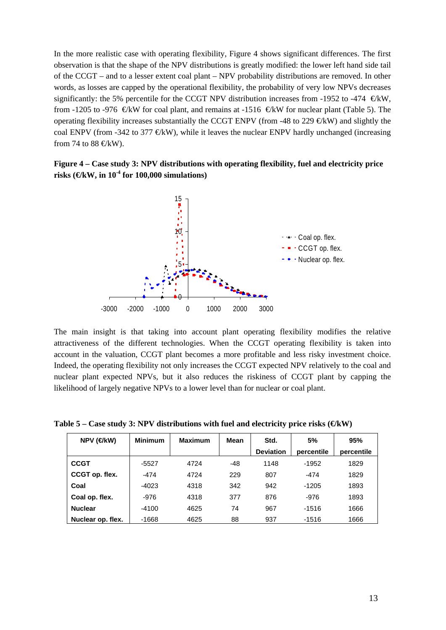In the more realistic case with operating flexibility, Figure 4 shows significant differences. The first observation is that the shape of the NPV distributions is greatly modified: the lower left hand side tail of the CCGT – and to a lesser extent coal plant – NPV probability distributions are removed. In other words, as losses are capped by the operational flexibility, the probability of very low NPVs decreases significantly: the 5% percentile for the CCGT NPV distribution increases from -1952 to -474  $\in\mathbb{K}W$ , from -1205 to -976  $\in$ KW for coal plant, and remains at -1516  $\in$ KW for nuclear plant (Table 5). The operating flexibility increases substantially the CCGT ENPV (from -48 to 229  $\in\mathbb{K}$ W) and slightly the coal ENPV (from -342 to 377  $E$ kW), while it leaves the nuclear ENPV hardly unchanged (increasing from 74 to 88  $\in$ kW).

**Figure 4 – Case study 3: NPV distributions with operating flexibility, fuel and electricity price**  risks ( $\bigoplus$ kW, in 10<sup>-4</sup> for 100,000 simulations)



The main insight is that taking into account plant operating flexibility modifies the relative attractiveness of the different technologies. When the CCGT operating flexibility is taken into account in the valuation, CCGT plant becomes a more profitable and less risky investment choice. Indeed, the operating flexibility not only increases the CCGT expected NPV relatively to the coal and nuclear plant expected NPVs, but it also reduces the riskiness of CCGT plant by capping the likelihood of largely negative NPVs to a lower level than for nuclear or coal plant.

Table  $5 -$  Case study 3: NPV distributions with fuel and electricity price risks  $(\mathcal{C}kW)$ 

| NPV (€kW)         | <b>Minimum</b> | <b>Maximum</b> | Std.<br>Mean |                  | 5%         | 95%        |
|-------------------|----------------|----------------|--------------|------------------|------------|------------|
|                   |                |                |              | <b>Deviation</b> | percentile | percentile |
| <b>CCGT</b>       | -5527          | 4724           | -48          | 1148             | $-1952$    | 1829       |
| CCGT op. flex.    | $-474$         | 4724           | 229          | 807              | $-474$     | 1829       |
| Coal              | $-4023$        | 4318           | 342          | 942              | $-1205$    | 1893       |
| Coal op. flex.    | $-976$         | 4318           | 377          | 876              | $-976$     | 1893       |
| <b>Nuclear</b>    | $-4100$        | 4625           | 74           | 967              | $-1516$    | 1666       |
| Nuclear op. flex. | $-1668$        | 4625           | 88           | 937              | $-1516$    | 1666       |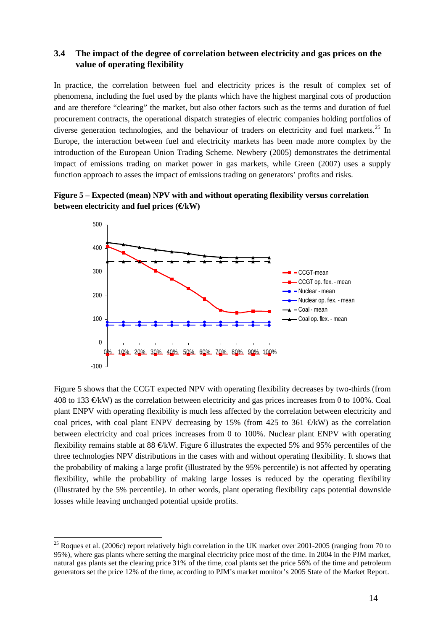## **3.4 The impact of the degree of correlation between electricity and gas prices on the value of operating flexibility**

In practice, the correlation between fuel and electricity prices is the result of complex set of phenomena, including the fuel used by the plants which have the highest marginal cots of production and are therefore "clearing" the market, but also other factors such as the terms and duration of fuel procurement contracts, the operational dispatch strategies of electric companies holding portfolios of diverse generation technologies, and the behaviour of traders on electricity and fuel markets.<sup>[25](#page-14-0)</sup> In Europe, the interaction between fuel and electricity markets has been made more complex by the introduction of the European Union Trading Scheme. Newbery (2005) demonstrates the detrimental impact of emissions trading on market power in gas markets, while Green (2007) uses a supply function approach to asses the impact of emissions trading on generators' profits and risks.

**Figure 5 – Expected (mean) NPV with and without operating flexibility versus correlation between electricity and fuel prices (€kW)** 



Figure 5 shows that the CCGT expected NPV with operating flexibility decreases by two-thirds (from 408 to 133  $\varepsilon$ kW) as the correlation between electricity and gas prices increases from 0 to 100%. Coal plant ENPV with operating flexibility is much less affected by the correlation between electricity and coal prices, with coal plant ENPV decreasing by 15% (from 425 to 361  $\oplus$ kW) as the correlation between electricity and coal prices increases from 0 to 100%. Nuclear plant ENPV with operating flexibility remains stable at 88  $\oplus$ kW. Figure 6 illustrates the expected 5% and 95% percentiles of the three technologies NPV distributions in the cases with and without operating flexibility. It shows that the probability of making a large profit (illustrated by the 95% percentile) is not affected by operating flexibility, while the probability of making large losses is reduced by the operating flexibility (illustrated by the 5% percentile). In other words, plant operating flexibility caps potential downside losses while leaving unchanged potential upside profits.

<span id="page-14-0"></span><sup>&</sup>lt;sup>25</sup> Roques et al. (2006c) report relatively high correlation in the UK market over 2001-2005 (ranging from 70 to 95%), where gas plants where setting the marginal electricity price most of the time. In 2004 in the PJM market, natural gas plants set the clearing price 31% of the time, coal plants set the price 56% of the time and petroleum generators set the price 12% of the time, according to PJM's market monitor's 2005 State of the Market Report.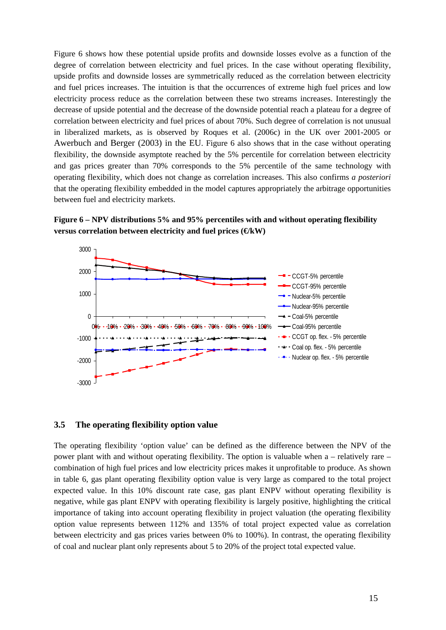Figure 6 shows how these potential upside profits and downside losses evolve as a function of the degree of correlation between electricity and fuel prices. In the case without operating flexibility, upside profits and downside losses are symmetrically reduced as the correlation between electricity and fuel prices increases. The intuition is that the occurrences of extreme high fuel prices and low electricity process reduce as the correlation between these two streams increases. Interestingly the decrease of upside potential and the decrease of the downside potential reach a plateau for a degree of correlation between electricity and fuel prices of about 70%. Such degree of correlation is not unusual in liberalized markets, as is observed by Roques et al. (2006c) in the UK over 2001-2005 or Awerbuch and Berger (2003) in the EU. Figure 6 also shows that in the case without operating flexibility, the downside asymptote reached by the 5% percentile for correlation between electricity and gas prices greater than 70% corresponds to the 5% percentile of the same technology with operating flexibility, which does not change as correlation increases. This also confirms *a posteriori* that the operating flexibility embedded in the model captures appropriately the arbitrage opportunities between fuel and electricity markets.





#### **3.5 The operating flexibility option value**

The operating flexibility 'option value' can be defined as the difference between the NPV of the power plant with and without operating flexibility. The option is valuable when a – relatively rare – combination of high fuel prices and low electricity prices makes it unprofitable to produce. As shown in table 6, gas plant operating flexibility option value is very large as compared to the total project expected value. In this 10% discount rate case, gas plant ENPV without operating flexibility is negative, while gas plant ENPV with operating flexibility is largely positive, highlighting the critical importance of taking into account operating flexibility in project valuation (the operating flexibility option value represents between 112% and 135% of total project expected value as correlation between electricity and gas prices varies between 0% to 100%). In contrast, the operating flexibility of coal and nuclear plant only represents about 5 to 20% of the project total expected value.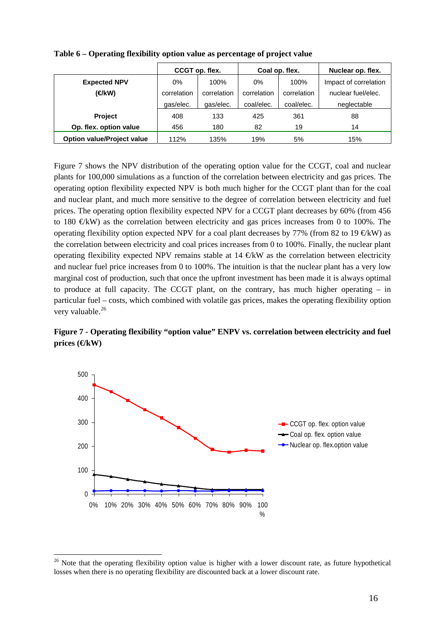|                                   | CCGT op. flex.             |           | Coal op. flex. |             | Nuclear op. flex.     |
|-----------------------------------|----------------------------|-----------|----------------|-------------|-----------------------|
| <b>Expected NPV</b>               | 0%<br>100%                 |           | 0%             | 100%        | Impact of correlation |
| (€kW)                             | correlation<br>correlation |           | correlation    | correlation | nuclear fuel/elec.    |
|                                   | qas/elec.                  | qas/elec. | coal/elec.     | coal/elec.  | neglectable           |
| <b>Project</b>                    | 408                        | 133       | 425            | 361         | 88                    |
| Op. flex. option value            | 456                        | 180       | 82             | 19          | 14                    |
| <b>Option value/Project value</b> | 112%                       | 135%      | 19%            | 5%          | 15%                   |

**Table 6 – Operating flexibility option value as percentage of project value** 

Figure 7 shows the NPV distribution of the operating option value for the CCGT, coal and nuclear plants for 100,000 simulations as a function of the correlation between electricity and gas prices. The operating option flexibility expected NPV is both much higher for the CCGT plant than for the coal and nuclear plant, and much more sensitive to the degree of correlation between electricity and fuel prices. The operating option flexibility expected NPV for a CCGT plant decreases by 60% (from 456 to 180  $\mathcal{L}$ KW) as the correlation between electricity and gas prices increases from 0 to 100%. The operating flexibility option expected NPV for a coal plant decreases by 77% (from 82 to 19  $\oplus$ kW) as the correlation between electricity and coal prices increases from 0 to 100%. Finally, the nuclear plant operating flexibility expected NPV remains stable at  $14 \in KW$  as the correlation between electricity and nuclear fuel price increases from 0 to 100%. The intuition is that the nuclear plant has a very low marginal cost of production, such that once the upfront investment has been made it is always optimal to produce at full capacity. The CCGT plant, on the contrary, has much higher operating – in particular fuel – costs, which combined with volatile gas prices, makes the operating flexibility option very valuable.<sup>[26](#page-16-0)</sup>

**Figure 7 - Operating flexibility "option value" ENPV vs. correlation between electricity and fuel**  prices (**€**kW)



<u>.</u>

<span id="page-16-0"></span><sup>&</sup>lt;sup>26</sup> Note that the operating flexibility option value is higher with a lower discount rate, as future hypothetical losses when there is no operating flexibility are discounted back at a lower discount rate.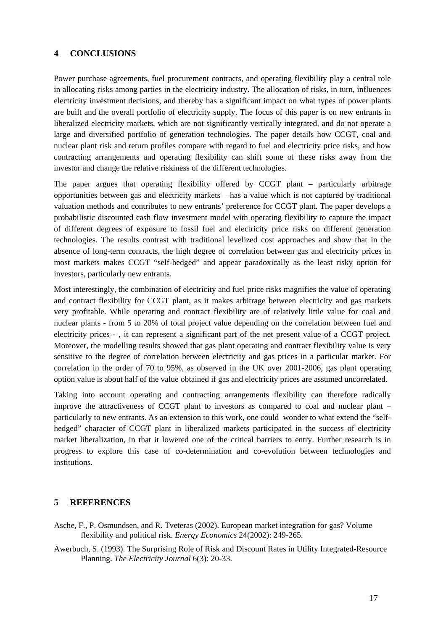### **4 CONCLUSIONS**

Power purchase agreements, fuel procurement contracts, and operating flexibility play a central role in allocating risks among parties in the electricity industry. The allocation of risks, in turn, influences electricity investment decisions, and thereby has a significant impact on what types of power plants are built and the overall portfolio of electricity supply. The focus of this paper is on new entrants in liberalized electricity markets, which are not significantly vertically integrated, and do not operate a large and diversified portfolio of generation technologies. The paper details how CCGT, coal and nuclear plant risk and return profiles compare with regard to fuel and electricity price risks, and how contracting arrangements and operating flexibility can shift some of these risks away from the investor and change the relative riskiness of the different technologies.

The paper argues that operating flexibility offered by CCGT plant – particularly arbitrage opportunities between gas and electricity markets – has a value which is not captured by traditional valuation methods and contributes to new entrants' preference for CCGT plant. The paper develops a probabilistic discounted cash flow investment model with operating flexibility to capture the impact of different degrees of exposure to fossil fuel and electricity price risks on different generation technologies. The results contrast with traditional levelized cost approaches and show that in the absence of long-term contracts, the high degree of correlation between gas and electricity prices in most markets makes CCGT "self-hedged" and appear paradoxically as the least risky option for investors, particularly new entrants.

Most interestingly, the combination of electricity and fuel price risks magnifies the value of operating and contract flexibility for CCGT plant, as it makes arbitrage between electricity and gas markets very profitable. While operating and contract flexibility are of relatively little value for coal and nuclear plants - from 5 to 20% of total project value depending on the correlation between fuel and electricity prices - , it can represent a significant part of the net present value of a CCGT project. Moreover, the modelling results showed that gas plant operating and contract flexibility value is very sensitive to the degree of correlation between electricity and gas prices in a particular market. For correlation in the order of 70 to 95%, as observed in the UK over 2001-2006, gas plant operating option value is about half of the value obtained if gas and electricity prices are assumed uncorrelated.

Taking into account operating and contracting arrangements flexibility can therefore radically improve the attractiveness of CCGT plant to investors as compared to coal and nuclear plant – particularly to new entrants. As an extension to this work, one could wonder to what extend the "selfhedged" character of CCGT plant in liberalized markets participated in the success of electricity market liberalization, in that it lowered one of the critical barriers to entry. Further research is in progress to explore this case of co-determination and co-evolution between technologies and institutions.

#### **5 REFERENCES**

Asche, F., P. Osmundsen, and R. Tveteras (2002). European market integration for gas? Volume flexibility and political risk. *Energy Economics* 24(2002): 249-265.

Awerbuch, S. (1993). The Surprising Role of Risk and Discount Rates in Utility Integrated-Resource Planning. *The Electricity Journal* 6(3): 20-33.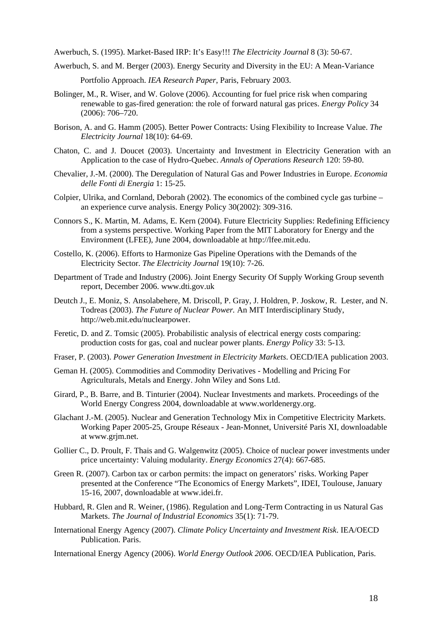Awerbuch, S. (1995). Market-Based IRP: It's Easy!!! *The Electricity Journal* 8 (3): 50-67.

Awerbuch, S. and M. Berger (2003). Energy Security and Diversity in the EU: A Mean-Variance

Portfolio Approach. *IEA Research Paper*, Paris, February 2003.

- Bolinger, M., R. Wiser, and W. Golove (2006). Accounting for fuel price risk when comparing renewable to gas-fired generation: the role of forward natural gas prices. *Energy Policy* 34 (2006): 706–720.
- Borison, A. and G. Hamm (2005). Better Power Contracts: Using Flexibility to Increase Value. *The Electricity Journal* 18(10): 64-69.
- Chaton, C. and J. Doucet (2003). Uncertainty and Investment in Electricity Generation with an Application to the case of Hydro-Quebec. *Annals of Operations Research* 120: 59-80.
- Chevalier, J.-M. (2000). The Deregulation of Natural Gas and Power Industries in Europe. *Economia delle Fonti di Energia* 1: 15-25.
- Colpier, Ulrika, and Cornland, Deborah (2002). The economics of the combined cycle gas turbine an experience curve analysis. Energy Policy 30(2002): 309-316.
- Connors S., K. Martin, M. Adams, E. Kern (2004). Future Electricity Supplies: Redefining Efficiency from a systems perspective. Working Paper from the MIT Laboratory for Energy and the Environment (LFEE), June 2004, downloadable at http://lfee.mit.edu.
- Costello, K. (2006). Efforts to Harmonize Gas Pipeline Operations with the Demands of the Electricity Sector. *The Electricity Journal* 19(10): 7-26.
- Department of Trade and Industry (2006). Joint Energy Security Of Supply Working Group seventh report, December 2006. www.dti.gov.uk
- Deutch J., E. Moniz, S. Ansolabehere, M. Driscoll, P. Gray, J. Holdren, P. Joskow, R. Lester, and N. Todreas (2003). *The Future of Nuclear Power.* An MIT Interdisciplinary Study, http://web.mit.edu/nuclearpower.
- Feretic, D. and Z. Tomsic (2005). Probabilistic analysis of electrical energy costs comparing: production costs for gas, coal and nuclear power plants. *Energy Policy* 33: 5-13.
- Fraser, P. (2003). *Power Generation Investment in Electricity Markets*. OECD/IEA publication 2003.
- Geman H. (2005). Commodities and Commodity Derivatives Modelling and Pricing For Agriculturals, Metals and Energy. John Wiley and Sons Ltd.
- Girard, P., B. Barre, and B. Tinturier (2004). Nuclear Investments and markets. Proceedings of the World Energy Congress 2004, downloadable at www.worldenergy.org.
- Glachant J.-M. (2005). Nuclear and Generation Technology Mix in Competitive Electricity Markets. Working Paper 2005-25, Groupe Réseaux - Jean-Monnet, Université Paris XI, downloadable at www.grjm.net.
- Gollier C., D. Proult, F. Thais and G. Walgenwitz (2005). Choice of nuclear power investments under price uncertainty: Valuing modularity. *Energy Economics* 27(4): 667-685.
- Green R. (2007). Carbon tax or carbon permits: the impact on generators' risks. Working Paper presented at the Conference "The Economics of Energy Markets", IDEI, Toulouse, January 15-16, 2007, downloadable at www.idei.fr.
- Hubbard, R. Glen and R. Weiner, (1986). Regulation and Long-Term Contracting in us Natural Gas Markets. *The Journal of Industrial Economics* 35(1): 71-79.
- International Energy Agency (2007). *Climate Policy Uncertainty and Investment Risk*. IEA/OECD Publication. Paris.
- International Energy Agency (2006). *World Energy Outlook 2006*. OECD/IEA Publication, Paris.